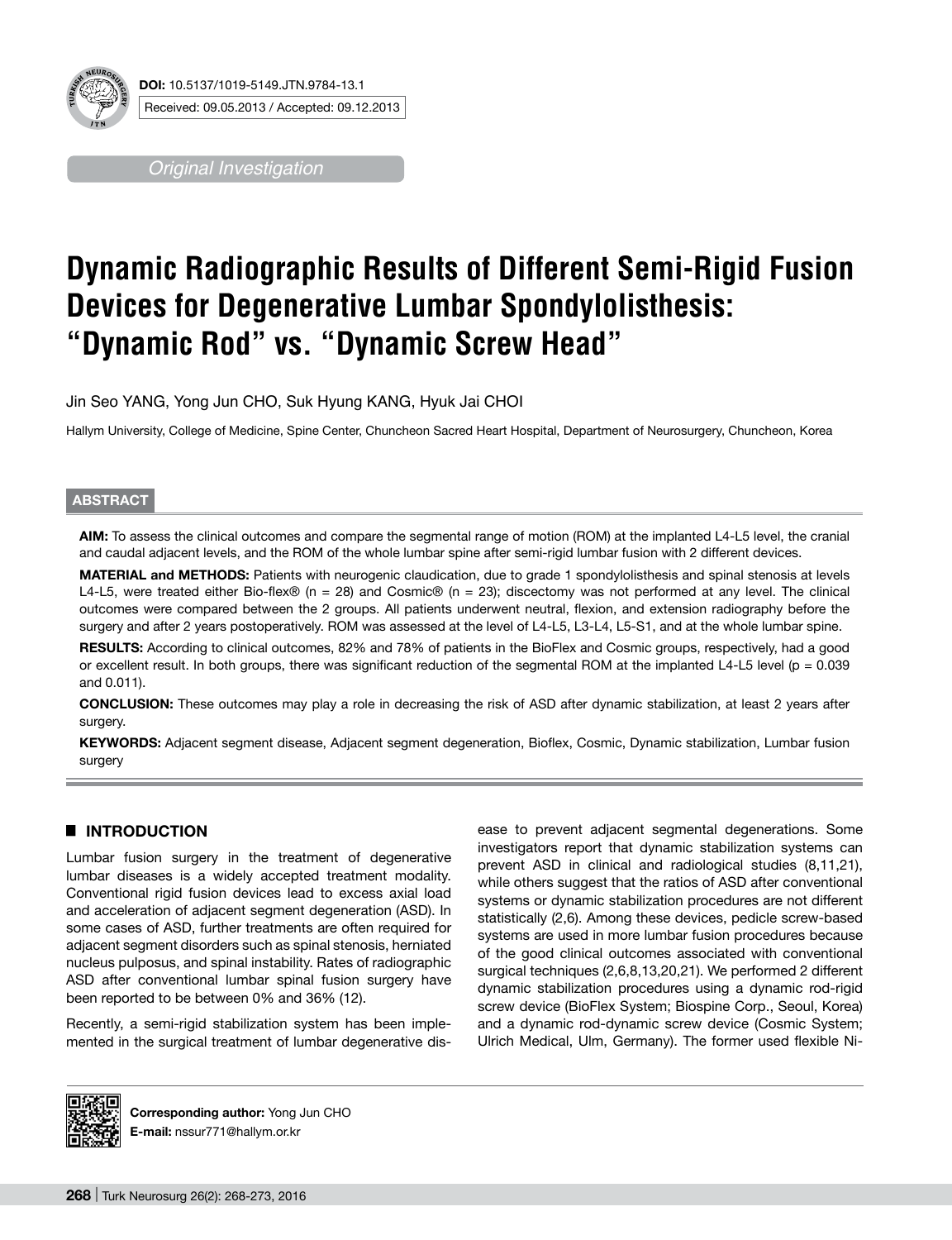

*Original Investigation*

# **Dynamic Radiographic Results of Different Semi-Rigid Fusion Devices for Degenerative Lumbar Spondylolisthesis: "Dynamic Rod" vs. "Dynamic Screw Head"**

Jin Seo YANG, Yong Jun CHO, Suk Hyung KANG, Hyuk Jai CHOI

Hallym University, College of Medicine, Spine Center, Chuncheon Sacred Heart Hospital, Department of Neurosurgery, Chuncheon, Korea

## **ABSTRACT**

**AIm:** To assess the clinical outcomes and compare the segmental range of motion (ROM) at the implanted L4-L5 level, the cranial and caudal adjacent levels, and the ROM of the whole lumbar spine after semi-rigid lumbar fusion with 2 different devices.

**MATERIAL and METHODS:** Patients with neurogenic claudication, due to grade 1 spondylolisthesis and spinal stenosis at levels L4-L5, were treated either Bio-flex® (n = 28) and Cosmic® (n = 23); discectomy was not performed at any level. The clinical outcomes were compared between the 2 groups. All patients underwent neutral, flexion, and extension radiography before the surgery and after 2 years postoperatively. ROM was assessed at the level of L4-L5, L3-L4, L5-S1, and at the whole lumbar spine.

RESULTS: According to clinical outcomes, 82% and 78% of patients in the BioFlex and Cosmic groups, respectively, had a good or excellent result. In both groups, there was significant reduction of the segmental ROM at the implanted L4-L5 level ( $p = 0.039$ ) and 0.011).

**ConclusIon:** These outcomes may play a role in decreasing the risk of ASD after dynamic stabilization, at least 2 years after surgery.

**Keywords:** Adjacent segment disease, Adjacent segment degeneration, Bioflex, Cosmic, Dynamic stabilization, Lumbar fusion surgery

# █ **Introduction**

Lumbar fusion surgery in the treatment of degenerative lumbar diseases is a widely accepted treatment modality. Conventional rigid fusion devices lead to excess axial load and acceleration of adjacent segment degeneration (ASD). In some cases of ASD, further treatments are often required for adjacent segment disorders such as spinal stenosis, herniated nucleus pulposus, and spinal instability. Rates of radiographic ASD after conventional lumbar spinal fusion surgery have been reported to be between 0% and 36% (12).

Recently, a semi-rigid stabilization system has been implemented in the surgical treatment of lumbar degenerative disease to prevent adjacent segmental degenerations. Some investigators report that dynamic stabilization systems can prevent ASD in clinical and radiological studies (8,11,21), while others suggest that the ratios of ASD after conventional systems or dynamic stabilization procedures are not different statistically (2,6). Among these devices, pedicle screw-based systems are used in more lumbar fusion procedures because of the good clinical outcomes associated with conventional surgical techniques (2,6,8,13,20,21). We performed 2 different dynamic stabilization procedures using a dynamic rod-rigid screw device (BioFlex System; Biospine Corp., Seoul, Korea) and a dynamic rod-dynamic screw device (Cosmic System; Ulrich Medical, Ulm, Germany). The former used flexible Ni-



**Corresponding author:** Yong Jun CHO **E-mail:** nssur771@hallym.or.kr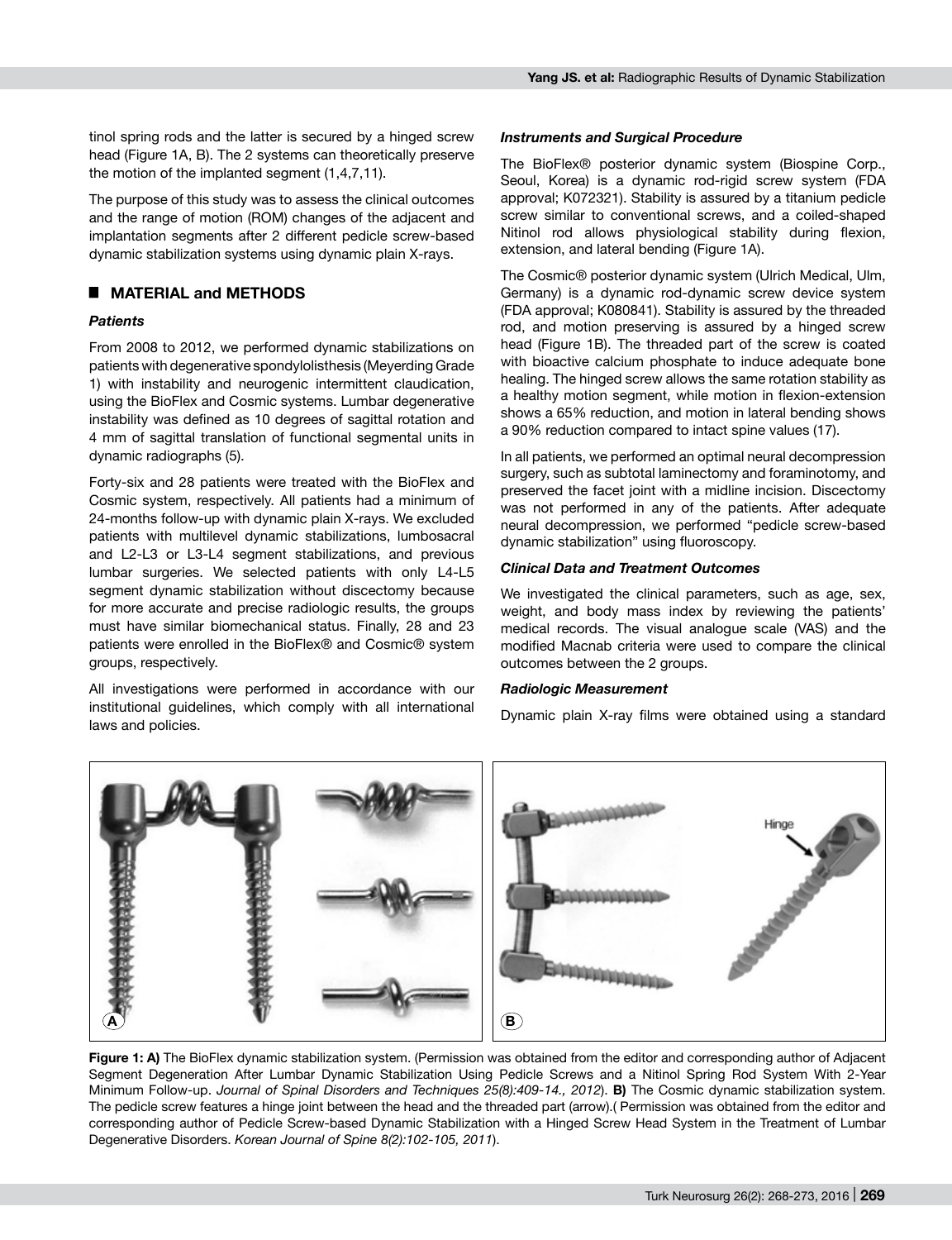tinol spring rods and the latter is secured by a hinged screw head (Figure 1A, B). The 2 systems can theoretically preserve the motion of the implanted segment (1,4,7,11).

The purpose of this study was to assess the clinical outcomes and the range of motion (ROM) changes of the adjacent and implantation segments after 2 different pedicle screw-based dynamic stabilization systems using dynamic plain X-rays.

# █ **Material and methods**

## *Patients*

From 2008 to 2012, we performed dynamic stabilizations on patients with degenerative spondylolisthesis (Meyerding Grade 1) with instability and neurogenic intermittent claudication, using the BioFlex and Cosmic systems. Lumbar degenerative instability was defined as 10 degrees of sagittal rotation and 4 mm of sagittal translation of functional segmental units in dynamic radiographs (5).

Forty-six and 28 patients were treated with the BioFlex and Cosmic system, respectively. All patients had a minimum of 24-months follow-up with dynamic plain X-rays. We excluded patients with multilevel dynamic stabilizations, lumbosacral and L2-L3 or L3-L4 segment stabilizations, and previous lumbar surgeries. We selected patients with only L4-L5 segment dynamic stabilization without discectomy because for more accurate and precise radiologic results, the groups must have similar biomechanical status. Finally, 28 and 23 patients were enrolled in the BioFlex® and Cosmic® system groups, respectively.

All investigations were performed in accordance with our institutional guidelines, which comply with all international laws and policies.

## *Instruments and Surgical Procedure*

The BioFlex® posterior dynamic system (Biospine Corp., Seoul, Korea) is a dynamic rod-rigid screw system (FDA approval; K072321). Stability is assured by a titanium pedicle screw similar to conventional screws, and a coiled-shaped Nitinol rod allows physiological stability during flexion, extension, and lateral bending (Figure 1A).

The Cosmic® posterior dynamic system (Ulrich Medical, Ulm, Germany) is a dynamic rod-dynamic screw device system (FDA approval; K080841). Stability is assured by the threaded rod, and motion preserving is assured by a hinged screw head (Figure 1B). The threaded part of the screw is coated with bioactive calcium phosphate to induce adequate bone healing. The hinged screw allows the same rotation stability as a healthy motion segment, while motion in flexion-extension shows a 65% reduction, and motion in lateral bending shows a 90% reduction compared to intact spine values (17).

In all patients, we performed an optimal neural decompression surgery, such as subtotal laminectomy and foraminotomy, and preserved the facet joint with a midline incision. Discectomy was not performed in any of the patients. After adequate neural decompression, we performed "pedicle screw-based dynamic stabilization" using fluoroscopy.

## *Clinical Data and Treatment Outcomes*

We investigated the clinical parameters, such as age, sex, weight, and body mass index by reviewing the patients' medical records. The visual analogue scale (VAS) and the modified Macnab criteria were used to compare the clinical outcomes between the 2 groups.

#### *Radiologic Measurement*

Dynamic plain X-ray films were obtained using a standard



**Figure 1: A)** The BioFlex dynamic stabilization system. (Permission was obtained from the editor and corresponding author of Adjacent Segment Degeneration After Lumbar Dynamic Stabilization Using Pedicle Screws and a Nitinol Spring Rod System With 2-Year Minimum Follow-up. *Journal of Spinal Disorders and Techniques 25(8):409-14., 2012*). **B)** The Cosmic dynamic stabilization system. The pedicle screw features a hinge joint between the head and the threaded part (arrow).( Permission was obtained from the editor and corresponding author of Pedicle Screw-based Dynamic Stabilization with a Hinged Screw Head System in the Treatment of Lumbar Degenerative Disorders. *Korean Journal of Spine 8(2):102-105, 2011*).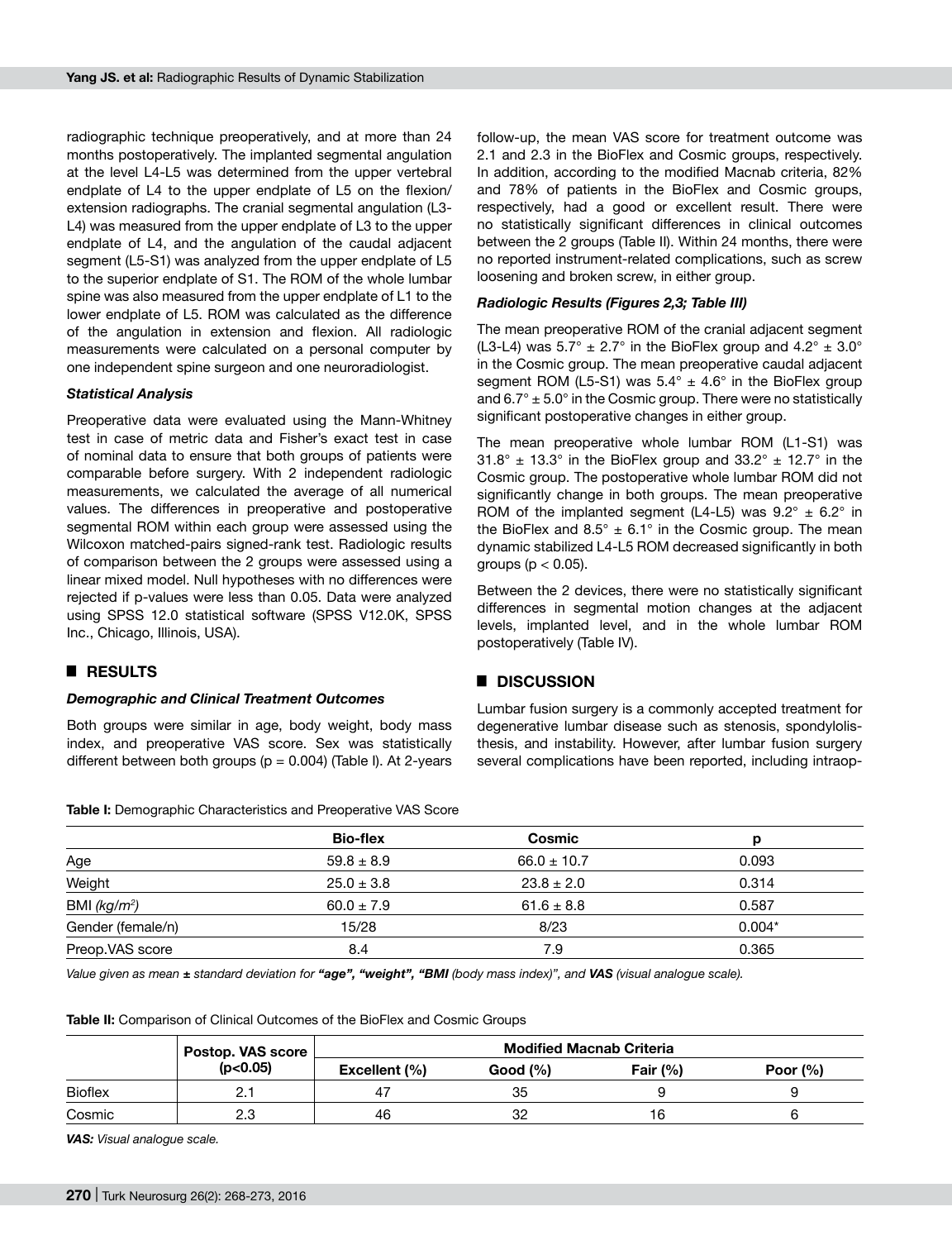radiographic technique preoperatively, and at more than 24 months postoperatively. The implanted segmental angulation at the level L4-L5 was determined from the upper vertebral endplate of L4 to the upper endplate of L5 on the flexion/ extension radiographs. The cranial segmental angulation (L3- L4) was measured from the upper endplate of L3 to the upper endplate of L4, and the angulation of the caudal adjacent segment (L5-S1) was analyzed from the upper endplate of L5 to the superior endplate of S1. The ROM of the whole lumbar spine was also measured from the upper endplate of L1 to the lower endplate of L5. ROM was calculated as the difference of the angulation in extension and flexion. All radiologic measurements were calculated on a personal computer by one independent spine surgeon and one neuroradiologist.

#### *Statistical Analysis*

Preoperative data were evaluated using the Mann-Whitney test in case of metric data and Fisher's exact test in case of nominal data to ensure that both groups of patients were comparable before surgery. With 2 independent radiologic measurements, we calculated the average of all numerical values. The differences in preoperative and postoperative segmental ROM within each group were assessed using the Wilcoxon matched-pairs signed-rank test. Radiologic results of comparison between the 2 groups were assessed using a linear mixed model. Null hypotheses with no differences were rejected if p-values were less than 0.05. Data were analyzed using SPSS 12.0 statistical software (SPSS V12.0K, SPSS Inc., Chicago, Illinois, USA).

## █ **Results**

#### *Demographic and Clinical Treatment Outcomes*

Both groups were similar in age, body weight, body mass index, and preoperative VAS score. Sex was statistically different between both groups ( $p = 0.004$ ) (Table I). At 2-years

**Table I:** Demographic Characteristics and Preoperative VAS Score

follow-up, the mean VAS score for treatment outcome was 2.1 and 2.3 in the BioFlex and Cosmic groups, respectively. In addition, according to the modified Macnab criteria, 82% and 78% of patients in the BioFlex and Cosmic groups, respectively, had a good or excellent result. There were no statistically significant differences in clinical outcomes between the 2 groups (Table II). Within 24 months, there were no reported instrument-related complications, such as screw loosening and broken screw, in either group.

#### *Radiologic Results (Figures 2,3; Table III)*

The mean preoperative ROM of the cranial adjacent segment (L3-L4) was  $5.7^{\circ} \pm 2.7^{\circ}$  in the BioFlex group and  $4.2^{\circ} \pm 3.0^{\circ}$ in the Cosmic group. The mean preoperative caudal adjacent segment ROM (L5-S1) was  $5.4^{\circ}$  ±  $4.6^{\circ}$  in the BioFlex group and  $6.7^{\circ} \pm 5.0^{\circ}$  in the Cosmic group. There were no statistically significant postoperative changes in either group.

The mean preoperative whole lumbar ROM (L1-S1) was  $31.8^{\circ}$  ± 13.3° in the BioFlex group and  $33.2^{\circ}$  ± 12.7° in the Cosmic group. The postoperative whole lumbar ROM did not significantly change in both groups. The mean preoperative ROM of the implanted segment (L4-L5) was  $9.2^{\circ} \pm 6.2^{\circ}$  in the BioFlex and  $8.5^{\circ} \pm 6.1^{\circ}$  in the Cosmic group. The mean dynamic stabilized L4-L5 ROM decreased significantly in both groups ( $p < 0.05$ ).

Between the 2 devices, there were no statistically significant differences in segmental motion changes at the adjacent levels, implanted level, and in the whole lumbar ROM postoperatively (Table IV).

## █ **Discussion**

Lumbar fusion surgery is a commonly accepted treatment for degenerative lumbar disease such as stenosis, spondylolisthesis, and instability. However, after lumbar fusion surgery several complications have been reported, including intraop-

|                   | <b>Bio-flex</b> | Cosmic          |          |
|-------------------|-----------------|-----------------|----------|
| Age               | $59.8 \pm 8.9$  | $66.0 \pm 10.7$ | 0.093    |
| Weight            | $25.0 \pm 3.8$  | $23.8 \pm 2.0$  | 0.314    |
| BMI $(kg/m^2)$    | $60.0 \pm 7.9$  | $61.6 \pm 8.8$  | 0.587    |
| Gender (female/n) | 15/28           | 8/23            | $0.004*$ |
| Preop.VAS score   | 8.4             | 7.9             | 0.365    |
|                   |                 |                 |          |

*Value given as mean ± standard deviation for "age", "weight", "BMI (body mass index)", and VAS (visual analogue scale).*

**Table II:** Comparison of Clinical Outcomes of the BioFlex and Cosmic Groups

|                | Postop. VAS score | <b>Modified Macnab Criteria</b> |          |            |             |
|----------------|-------------------|---------------------------------|----------|------------|-------------|
|                | (p<0.05)          | Excellent (%)                   | Good (%) | Fair $(%)$ | Poor $(\%)$ |
| <b>Bioflex</b> |                   |                                 | 35       |            |             |
| Cosmic         | 2.3               | 46                              | 32       | 16         |             |

*VAS: Visual analogue scale.*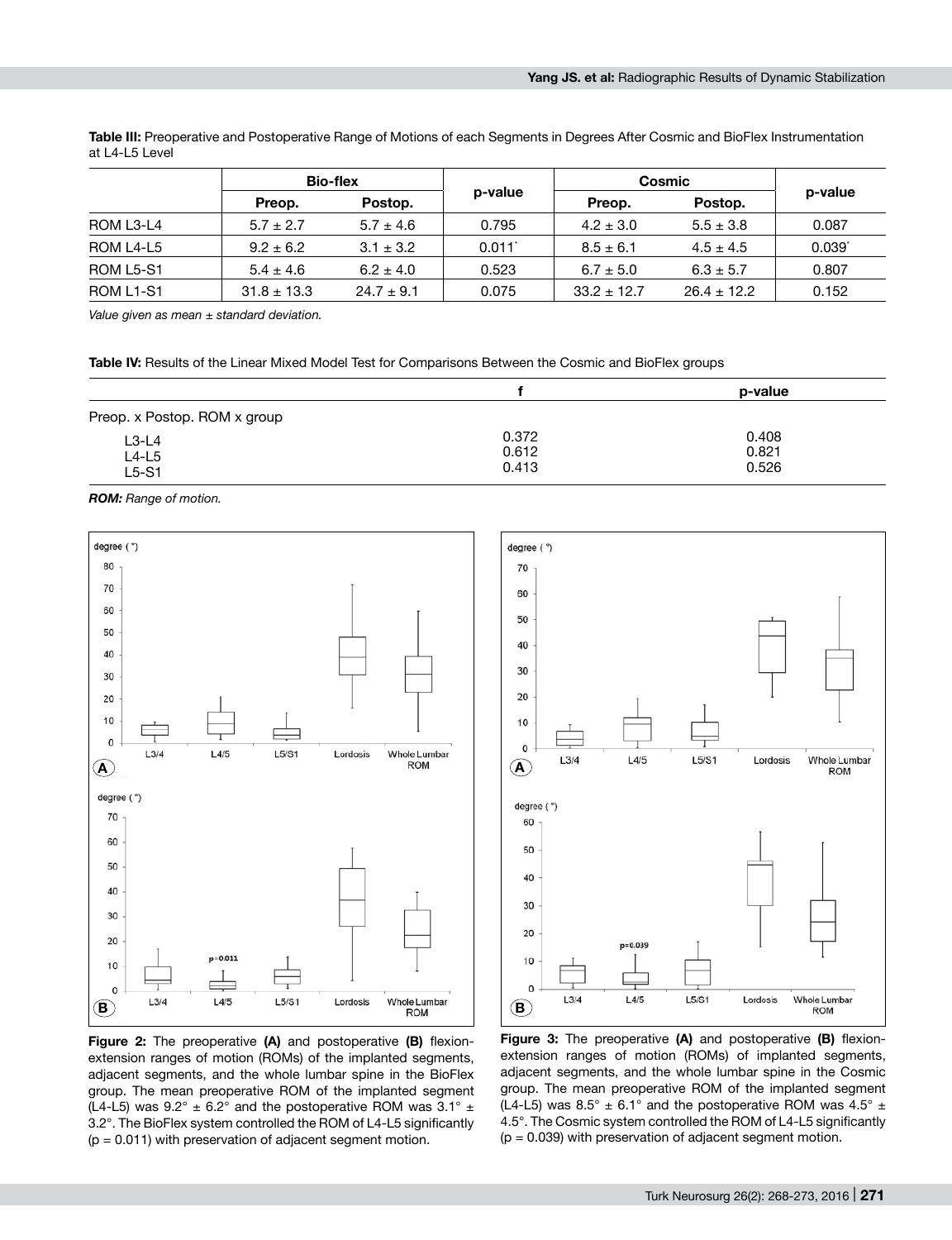**Table III:** Preoperative and Postoperative Range of Motions of each Segments in Degrees After Cosmic and BioFlex Instrumentation at L4-L5 Level

|                                    |                 | <b>Bio-flex</b> |         | Cosmic          |                 |             |
|------------------------------------|-----------------|-----------------|---------|-----------------|-----------------|-------------|
|                                    | Preop.          | Postop.         | p-value | Preop.          | Postop.         | p-value     |
| ROM L3-L4                          | $5.7 \pm 2.7$   | $5.7 \pm 4.6$   | 0.795   | $4.2 \pm 3.0$   | $5.5 \pm 3.8$   | 0.087       |
| ROM L4-L5                          | $9.2 \pm 6.2$   | $3.1 \pm 3.2$   | 0.011   | $8.5 \pm 6.1$   | $4.5 \pm 4.5$   | $0.039^{*}$ |
| ROM L5-S1                          | $5.4 \pm 4.6$   | $6.2 \pm 4.0$   | 0.523   | $6.7 \pm 5.0$   | $6.3 \pm 5.7$   | 0.807       |
| ROM L <sub>1</sub> -S <sub>1</sub> | $31.8 \pm 13.3$ | $24.7 \pm 9.1$  | 0.075   | $33.2 \pm 12.7$ | $26.4 \pm 12.2$ | 0.152       |

*Value given as mean ± standard deviation.*

Table IV: Results of the Linear Mixed Model Test for Comparisons Between the Cosmic and BioFlex groups

|                               |                         | p-value                 |
|-------------------------------|-------------------------|-------------------------|
| Preop. x Postop. ROM x group  |                         |                         |
| $L3-L4$<br>$L4-L5$<br>$L5-S1$ | 0.372<br>0.612<br>0.413 | 0.408<br>0.821<br>0.526 |

*ROM: Range of motion.*



**Figure 2:** The preoperative **(A)** and postoperative **(B)** flexionextension ranges of motion (ROMs) of the implanted segments, adjacent segments, and the whole lumbar spine in the BioFlex group. The mean preoperative ROM of the implanted segment (L4-L5) was  $9.2^{\circ} \pm 6.2^{\circ}$  and the postoperative ROM was  $3.1^{\circ} \pm$ 3.2°. The BioFlex system controlled the ROM of L4-L5 significantly  $(p = 0.011)$  with preservation of adjacent segment motion.



**Figure 3:** The preoperative **(A)** and postoperative **(B)** flexionextension ranges of motion (ROMs) of implanted segments, adjacent segments, and the whole lumbar spine in the Cosmic group. The mean preoperative ROM of the implanted segment (L4-L5) was 8.5°  $\pm$  6.1° and the postoperative ROM was 4.5°  $\pm$ 4.5°. The Cosmic system controlled the ROM of L4-L5 significantly  $(p = 0.039)$  with preservation of adjacent segment motion.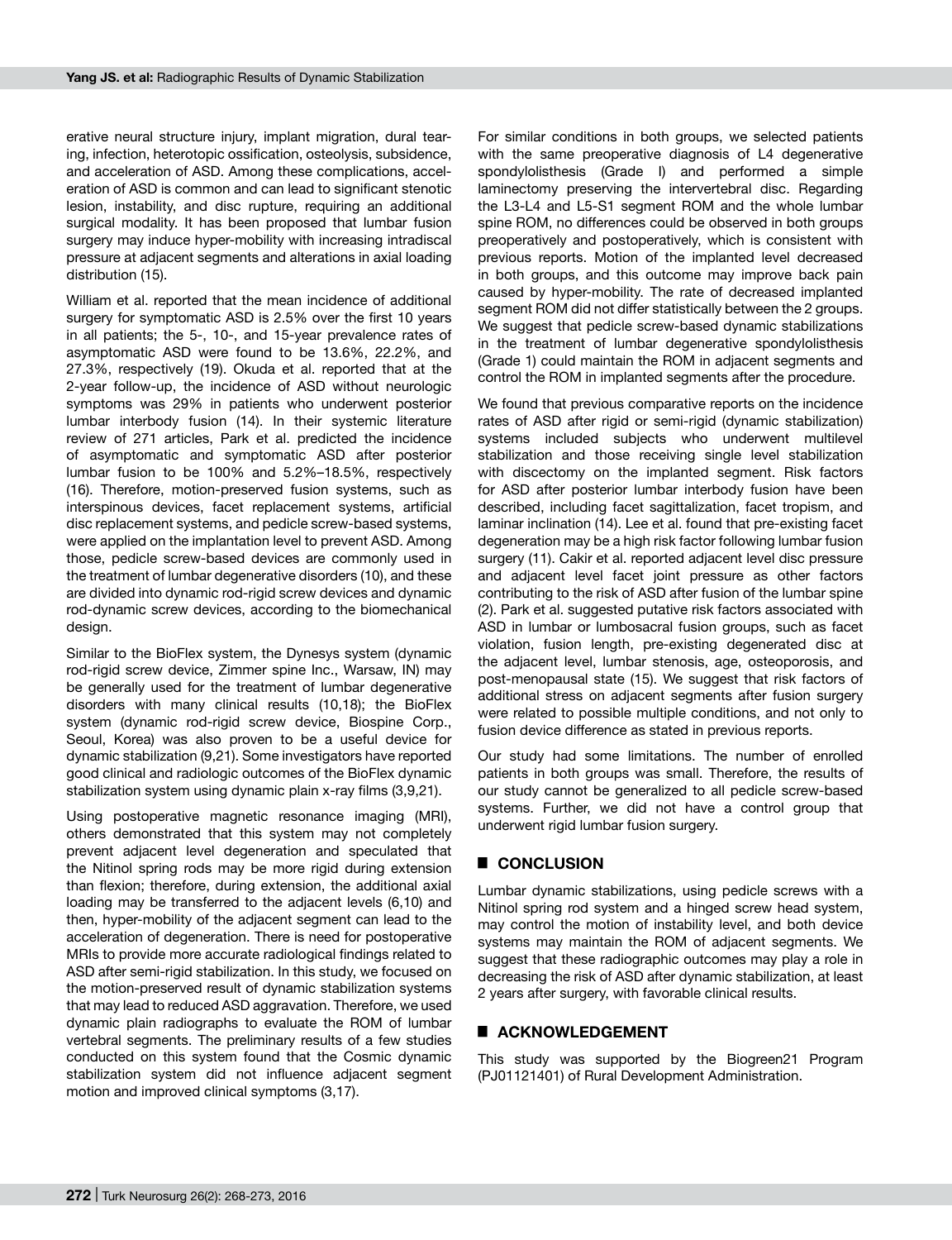erative neural structure injury, implant migration, dural tearing, infection, heterotopic ossification, osteolysis, subsidence, and acceleration of ASD. Among these complications, acceleration of ASD is common and can lead to significant stenotic lesion, instability, and disc rupture, requiring an additional surgical modality. It has been proposed that lumbar fusion surgery may induce hyper-mobility with increasing intradiscal pressure at adjacent segments and alterations in axial loading distribution (15).

William et al. reported that the mean incidence of additional surgery for symptomatic ASD is 2.5% over the first 10 years in all patients; the 5-, 10-, and 15-year prevalence rates of asymptomatic ASD were found to be 13.6%, 22.2%, and 27.3%, respectively (19). Okuda et al. reported that at the 2-year follow-up, the incidence of ASD without neurologic symptoms was 29% in patients who underwent posterior lumbar interbody fusion (14). In their systemic literature review of 271 articles, Park et al. predicted the incidence of asymptomatic and symptomatic ASD after posterior lumbar fusion to be 100% and 5.2%–18.5%, respectively (16). Therefore, motion-preserved fusion systems, such as interspinous devices, facet replacement systems, artificial disc replacement systems, and pedicle screw-based systems, were applied on the implantation level to prevent ASD. Among those, pedicle screw-based devices are commonly used in the treatment of lumbar degenerative disorders (10), and these are divided into dynamic rod-rigid screw devices and dynamic rod-dynamic screw devices, according to the biomechanical design.

Similar to the BioFlex system, the Dynesys system (dynamic rod-rigid screw device, Zimmer spine Inc., Warsaw, IN) may be generally used for the treatment of lumbar degenerative disorders with many clinical results (10,18); the BioFlex system (dynamic rod-rigid screw device, Biospine Corp., Seoul, Korea) was also proven to be a useful device for dynamic stabilization (9,21). Some investigators have reported good clinical and radiologic outcomes of the BioFlex dynamic stabilization system using dynamic plain x-ray films (3,9,21).

Using postoperative magnetic resonance imaging (MRI), others demonstrated that this system may not completely prevent adjacent level degeneration and speculated that the Nitinol spring rods may be more rigid during extension than flexion; therefore, during extension, the additional axial loading may be transferred to the adjacent levels (6,10) and then, hyper-mobility of the adjacent segment can lead to the acceleration of degeneration. There is need for postoperative MRIs to provide more accurate radiological findings related to ASD after semi-rigid stabilization. In this study, we focused on the motion-preserved result of dynamic stabilization systems that may lead to reduced ASD aggravation. Therefore, we used dynamic plain radiographs to evaluate the ROM of lumbar vertebral segments. The preliminary results of a few studies conducted on this system found that the Cosmic dynamic stabilization system did not influence adjacent segment motion and improved clinical symptoms (3,17).

For similar conditions in both groups, we selected patients with the same preoperative diagnosis of L4 degenerative spondylolisthesis (Grade I) and performed a simple laminectomy preserving the intervertebral disc. Regarding the L3-L4 and L5-S1 segment ROM and the whole lumbar spine ROM, no differences could be observed in both groups preoperatively and postoperatively, which is consistent with previous reports. Motion of the implanted level decreased in both groups, and this outcome may improve back pain caused by hyper-mobility. The rate of decreased implanted segment ROM did not differ statistically between the 2 groups. We suggest that pedicle screw-based dynamic stabilizations in the treatment of lumbar degenerative spondylolisthesis (Grade 1) could maintain the ROM in adjacent segments and control the ROM in implanted segments after the procedure.

We found that previous comparative reports on the incidence rates of ASD after rigid or semi-rigid (dynamic stabilization) systems included subjects who underwent multilevel stabilization and those receiving single level stabilization with discectomy on the implanted segment. Risk factors for ASD after posterior lumbar interbody fusion have been described, including facet sagittalization, facet tropism, and laminar inclination (14). Lee et al. found that pre-existing facet degeneration may be a high risk factor following lumbar fusion surgery (11). Cakir et al. reported adjacent level disc pressure and adjacent level facet joint pressure as other factors contributing to the risk of ASD after fusion of the lumbar spine (2). Park et al. suggested putative risk factors associated with ASD in lumbar or lumbosacral fusion groups, such as facet violation, fusion length, pre-existing degenerated disc at the adjacent level, lumbar stenosis, age, osteoporosis, and post-menopausal state (15). We suggest that risk factors of additional stress on adjacent segments after fusion surgery were related to possible multiple conditions, and not only to fusion device difference as stated in previous reports.

Our study had some limitations. The number of enrolled patients in both groups was small. Therefore, the results of our study cannot be generalized to all pedicle screw-based systems. Further, we did not have a control group that underwent rigid lumbar fusion surgery.

## █ **Conclusion**

Lumbar dynamic stabilizations, using pedicle screws with a Nitinol spring rod system and a hinged screw head system, may control the motion of instability level, and both device systems may maintain the ROM of adjacent segments. We suggest that these radiographic outcomes may play a role in decreasing the risk of ASD after dynamic stabilization, at least 2 years after surgery, with favorable clinical results.

## ■ **ACKNOWLEDGEMENT**

This study was supported by the Biogreen21 Program (PJ01121401) of Rural Development Administration.